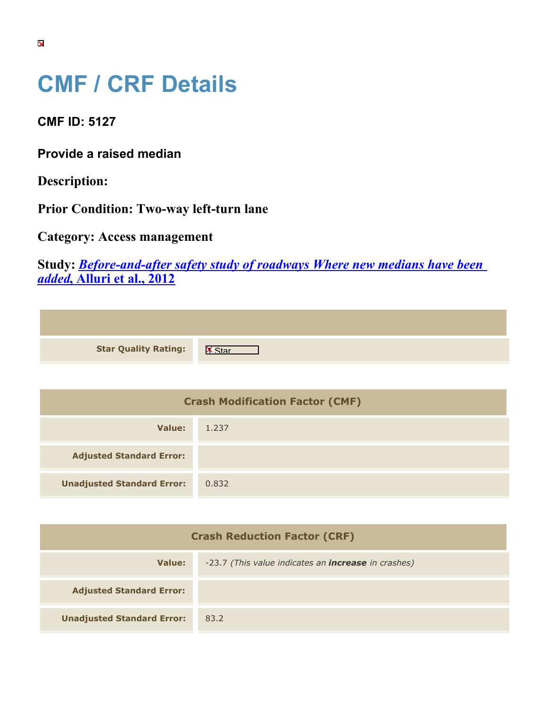## **CMF / CRF Details**

**CMF ID: 5127**

**Provide a raised median**

**Description:** 

**Prior Condition: Two-way left-turn lane**

**Category: Access management**

**Study:** *[Before-and-after safety study of roadways Where new medians have been](https://cmfclearinghouse.org/study_detail.cfm?stid=321) [added](https://cmfclearinghouse.org/study_detail.cfm?stid=321)***[, Alluri et al., 2012](https://cmfclearinghouse.org/study_detail.cfm?stid=321)**

| <b>Star Quality Rating:</b> | X |
|-----------------------------|---|

| <b>Crash Modification Factor (CMF)</b> |       |
|----------------------------------------|-------|
| Value:                                 | 1.237 |
| <b>Adjusted Standard Error:</b>        |       |
| <b>Unadjusted Standard Error:</b>      | 0.832 |

| <b>Crash Reduction Factor (CRF)</b> |                                                            |
|-------------------------------------|------------------------------------------------------------|
| Value:                              | -23.7 (This value indicates an <b>increase</b> in crashes) |
| <b>Adjusted Standard Error:</b>     |                                                            |
| <b>Unadjusted Standard Error:</b>   | 83.2                                                       |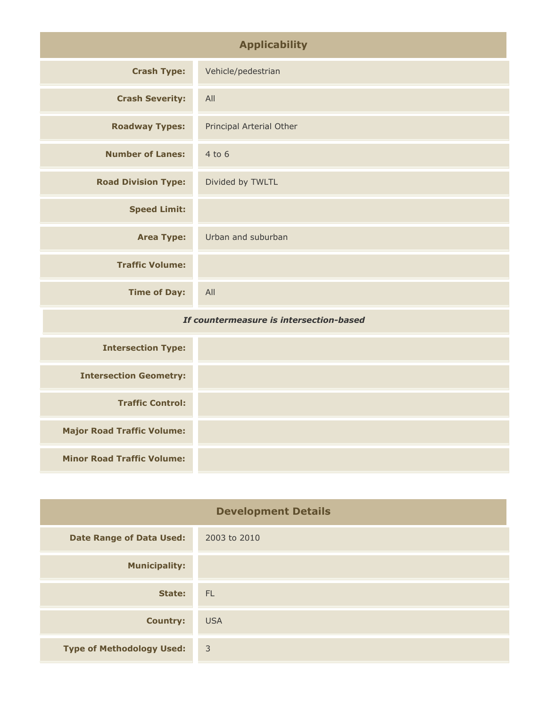| <b>Applicability</b>                    |                          |
|-----------------------------------------|--------------------------|
| <b>Crash Type:</b>                      | Vehicle/pedestrian       |
| <b>Crash Severity:</b>                  | All                      |
| <b>Roadway Types:</b>                   | Principal Arterial Other |
| <b>Number of Lanes:</b>                 | $4$ to $6$               |
| <b>Road Division Type:</b>              | Divided by TWLTL         |
| <b>Speed Limit:</b>                     |                          |
| <b>Area Type:</b>                       | Urban and suburban       |
| <b>Traffic Volume:</b>                  |                          |
| <b>Time of Day:</b>                     | All                      |
| If countermeasure is intersection-based |                          |
| <b>Intersection Type:</b>               |                          |
| <b>Intersection Geometry:</b>           |                          |

| <b>Development Details</b>       |                |
|----------------------------------|----------------|
| <b>Date Range of Data Used:</b>  | 2003 to 2010   |
| <b>Municipality:</b>             |                |
| State:                           | FL.            |
| <b>Country:</b>                  | <b>USA</b>     |
| <b>Type of Methodology Used:</b> | $\overline{3}$ |

**Traffic Control:**

**Major Road Traffic Volume:**

**Minor Road Traffic Volume:**